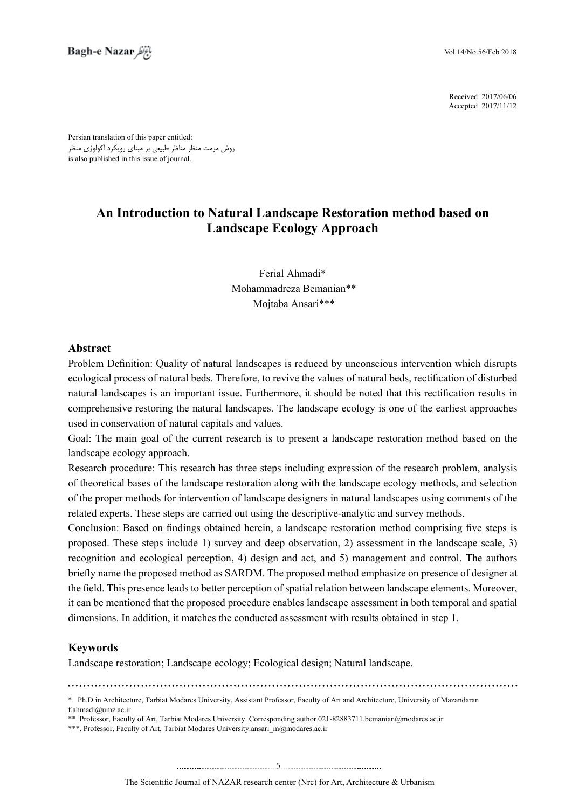2017/06/06 Received 2017/11/12 Accepted

Persian translation of this paper entitled: روش مرمت منظر مناظر طبیعی بر مبنای رویکرد اکولوژی منظر is also published in this issue of journal.

# **An Introduction to Natural Landscape Restoration method based on Landscape Ecology Approach**

Ferial Ahmadi\* Mohammadreza Bemanian\*\* Mojtaba Ansari\*\*\*

## **Abstract**

Problem Definition: Quality of natural landscapes is reduced by unconscious intervention which disrupts ecological process of natural beds. Therefore, to revive the values of natural beds, rectification of disturbed natural landscapes is an important issue. Furthermore, it should be noted that this rectification results in comprehensive restoring the natural landscapes. The landscape ecology is one of the earliest approaches used in conservation of natural capitals and values.

Goal: The main goal of the current research is to present a landscape restoration method based on the landscape ecology approach.

Research procedure: This research has three steps including expression of the research problem, analysis  $\overline{\phantom{a}}$ of theoretical bases of the landscape restoration along with the landscape ecology methods, and selection of the proper methods for intervention of landscape designers in natural landscapes using comments of the related experts. These steps are carried out using the descriptive-analytic and survey methods.

Conclusion: Based on findings obtained herein, a landscape restoration method comprising five steps is proposed. These steps include 1) survey and deep observation, 2) assessment in the landscape scale,  $3$ recognition and ecological perception, 4) design and act, and 5) management and control. The authors briefly name the proposed method as SARDM. The proposed method emphasize on presence of designer at the field. This presence leads to better perception of spatial relation between landscape elements. Moreover, it can be mentioned that the proposed procedure enables landscape assessment in both temporal and spatial dimensions. In addition, it matches the conducted assessment with results obtained in step 1.

## **Keywords**

Landscape restoration; Landscape ecology; Ecological design; Natural landscape.

\*\*\*. Professor, Faculty of Art, Tarbiat Modares University ansari\_m@modares.ac.ir

<sup>\*.</sup> Ph.D in Architecture, Tarbiat Modares University, Assistant Professor, Faculty of Art and Architecture, University of Mazandaran  $f$ .ahmadi $@$ umz.ac.ir

<sup>\*\*.</sup> Professor, Faculty of Art, Tarbiat Modares University. Corresponding author 021-82883711.bemanian@modares.ac.ir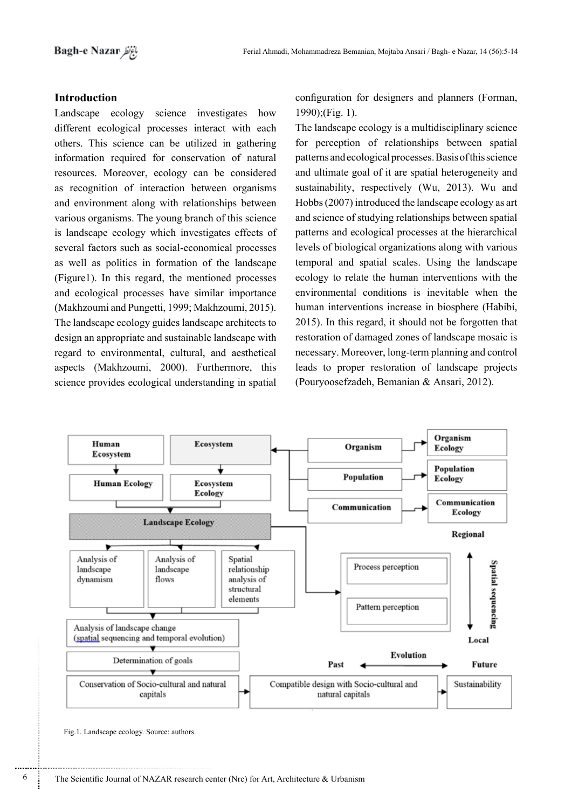## **Introduction**

Landscape ecology science investigates how different ecological processes interact with each others. This science can be utilized in gathering information required for conservation of natural resources. Moreover, ecology can be considered as recognition of interaction between organisms and environment along with relationships between various organisms. The young branch of this science is landscape ecology which investigates effects of several factors such as social-economical processes as well as politics in formation of the landscape  $(Figure1)$ . In this regard, the mentioned processes and ecological processes have similar importance (Makhzoumi and Pungetti, 1999; Makhzoumi, 2015). The landscape ecology guides landscape architects to design an appropriate and sustainable landscape with regard to environmental, cultural, and aesthetical aspects (Makhzoumi, 2000). Furthermore, this science provides ecological understanding in spatial

configuration for designers and planners (Forman,  $1990$ :(Fig. 1).

The landscape ecology is a multidisciplinary science for perception of relationships between spatial patterns and ecological processes. Basis of this science and ultimate goal of it are spatial heterogeneity and sustainability, respectively (Wu, 2013). Wu and Hobbs  $(2007)$  introduced the landscape ecology as art and science of studying relationships between spatial patterns and ecological processes at the hierarchical levels of biological organizations along with various temporal and spatial scales. Using the landscape ecology to relate the human interventions with the environmental conditions is inevitable when the human interventions increase in biosphere (Habibi,  $2015$ ). In this regard, it should not be forgotten that restoration of damaged zones of landscape mosaic is necessary. Moreover, long-term planning and control leads to proper restoration of landscape projects (Pouryoosefzadeh, Bemanian & Ansari, 2012).



Fig.1. Landscape ecology. Source: authors.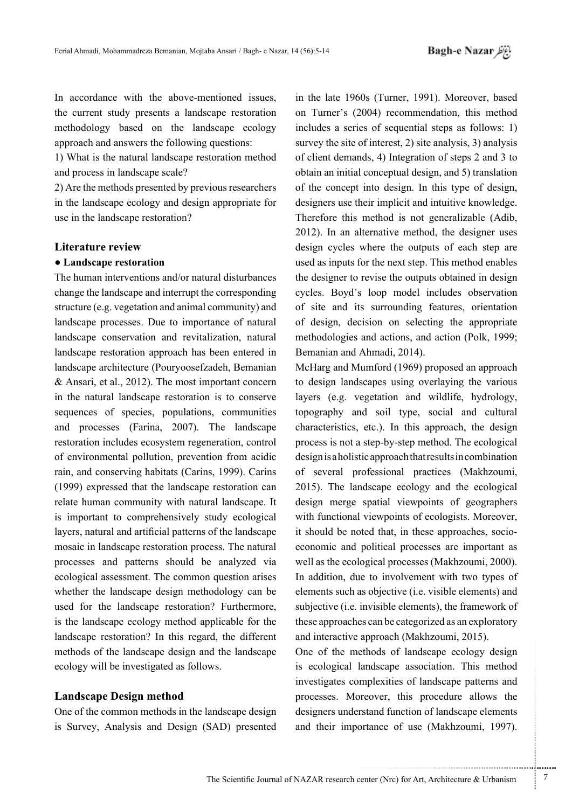In accordance with the above-mentioned issues, the current study presents a landscape restoration methodology based on the landscape ecology approach and answers the following questions:

1) What is the natural landscape restoration method and process in landscape scale?

2) Are the methods presented by previous researchers in the landscape ecology and design appropriate for use in the landscape restoration?

#### **Literature** review

#### **• Landscape restoration**

The human interventions and/or natural disturbances change the landscape and interrupt the corresponding structure (e.g. vegetation and animal community) and landscape processes. Due to importance of natural landscape conservation and revitalization, natural landscape restoration approach has been entered in landscape architecture (Pouryoosefzadeh, Bemanian  $\&$  Ansari, et al., 2012). The most important concern in the natural landscape restoration is to conserve sequences of species, populations, communities and processes (Farina, 2007). The landscape restoration includes ecosystem regeneration, control of environmental pollution, prevention from acidic rain, and conserving habitats (Carins, 1999). Carins  $(1999)$  expressed that the landscape restoration can relate human community with natural landscape. It is important to comprehensively study ecological layers, natural and artificial patterns of the landscape mosaic in landscape restoration process. The natural processes and patterns should be analyzed via ecological assessment. The common question arises whether the landscape design methodology can be used for the landscape restoration? Furthermore, is the landscape ecology method applicable for the landscape restoration? In this regard, the different methods of the landscape design and the landscape ecology will be investigated as follows.

#### **Landscape Design method**

One of the common methods in the landscape design is Survey, Analysis and Design (SAD) presented in the late 1960s (Turner, 1991). Moreover, based on Turner's (2004) recommendation, this method includes a series of sequential steps as follows: 1) survey the site of interest,  $2$ ) site analysis,  $3$ ) analysis of client demands, 4) Integration of steps  $2$  and  $3$  to obtain an initial conceptual design, and 5) translation of the concept into design. In this type of design, designers use their implicit and intuitive knowledge. Therefore this method is not generalizable (Adib,  $2012$ ). In an alternative method, the designer uses design cycles where the outputs of each step are used as inputs for the next step. This method enables the designer to revise the outputs obtained in design cycles. Boyd's loop model includes observation of site and its surrounding features, orientation of design, decision on selecting the appropriate methodologies and actions, and action (Polk, 1999; Bemanian and Ahmadi, 2014).

McHarg and Mumford (1969) proposed an approach to design landscapes using overlaying the various layers (e.g. vegetation and wildlife, hydrology, topography and soil type, social and cultural characteristics, etc.). In this approach, the design process is not a step-by-step method. The ecological design is a holistic approach that results in combination of several professional practices (Makhzoumi,  $2015$ ). The land scape ecology and the ecological design merge spatial viewpoints of geographers with functional viewpoints of ecologists. Moreover, economic and political processes are important as it should be noted that, in these approaches, sociowell as the ecological processes (Makhzoumi, 2000). In addition, due to involvement with two types of elements such as objective (i.e. visible elements) and subjective (*i.e.* invisible elements), the framework of these approaches can be categorized as an exploratory and interactive approach (Makhzoumi, 2015).

One of the methods of landscape ecology design is ecological landscape association. This method investigates complexities of landscape patterns and processes. Moreover, this procedure allows the designers understand function of landscape elements and their importance of use (Makhzoumi, 1997).

.......... ....... ........ ........... ...... ....... ........ .......... ...........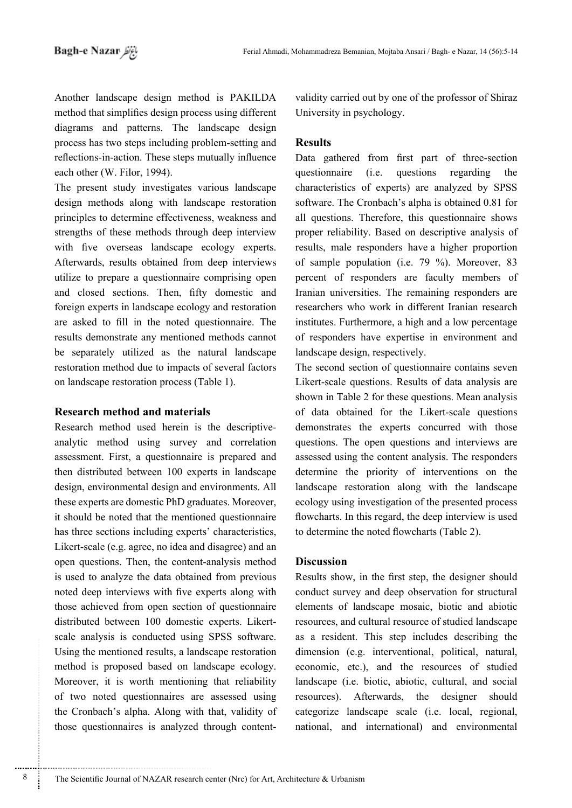Another landscape design method is PAKILDA method that simplifies design process using different diagrams and patterns. The landscape design process has two steps including problem-setting and reflections-in-action. These steps mutually influence each other (W. Filor, 1994).

The present study investigates various landscape design methods along with landscape restoration principles to determine effectiveness, weakness and strengths of these methods through deep interview with five overseas landscape ecology experts. Afterwards, results obtained from deep interviews utilize to prepare a questionnaire comprising open and closed sections. Then, fifty domestic and foreign experts in landscape ecology and restoration are asked to fill in the noted questionnaire. The results demonstrate any mentioned methods cannot be separately utilized as the natural landscape restoration method due to impacts of several factors on landscape restoration process (Table 1).

#### **Research method and materials**

analytic method using survey and correlation Research method used herein is the descriptiveassessment. First, a questionnaire is prepared and then distributed between 100 experts in landscape design, environmental design and environments. All these experts are domestic PhD graduates. Moreover, it should be noted that the mentioned questionnaire has three sections including experts' characteristics. Likert-scale (e.g. agree, no idea and disagree) and an open questions. Then, the content-analysis method is used to analyze the data obtained from previous noted deep interviews with five experts along with those achieved from open section of questionnaire scale analysis is conducted using SPSS software. distributed between 100 domestic experts. Likert-Using the mentioned results, a landscape restoration method is proposed based on landscape ecology. Moreover, it is worth mentioning that reliability of two noted questionnaires are assessed using the Cronbach's alpha. Along with that, validity of those questionnaires is analyzed through contentUniversity in psychology.

# **Results**

Validity carried out by one of the professor of Shiraz<br>
University in psychology.<br> **Results**<br> **Results**<br> **Results**<br> **Results**<br> **Results**<br> **Results**<br> **Results**<br> **Results**<br> **Results**<br> **Results**<br> **Results**<br> **Results**<br> **Result** Data gathered from first part of three-section questionnaire (i.e. questions regarding the characteristics of experts) are analyzed by SPSS software. The Cronbach's alpha is obtained 0.81 for all questions. Therefore, this questionnaire shows proper reliability. Based on descriptive analysis of results, male responders have a higher proportion of sample population (i.e.  $79\%$ ). Moreover, 83 percent of responders are faculty members of Iranian universities. The remaining responders are researchers who work in different Iranian researchers institutes. Furthermore, a high and a low percentage of responders have expertise in environment and landscape design, respectively.

The second section of questionnaire contains seven Likert-scale questions. Results of data analysis are shown in Table 2 for these questions. Mean analysis of data obtained for the Likert-scale questions demonstrates the experts concurred with those questions. The open questions and interviews are assessed using the content analysis. The responders determine the priority of interventions on the landscape restoration along with the landscape ecology using investigation of the presented process flowcharts. In this regard, the deep interview is used to determine the noted flowcharts (Table 2).

## **Discussion**

Results show, in the first step, the designer should conduct survey and deep observation for structural elements of landscape mosaic, biotic and abiotic resources, and cultural resource of studied landscape as a resident. This step includes describing the dimension (e.g. interventional, political, natural, economic, etc.), and the resources of studied landscape (i.e. biotic, abiotic, cultural, and social resources). Afterwards, the designer should categorize landscape scale (i.e. local, regional, national, and international) and environmental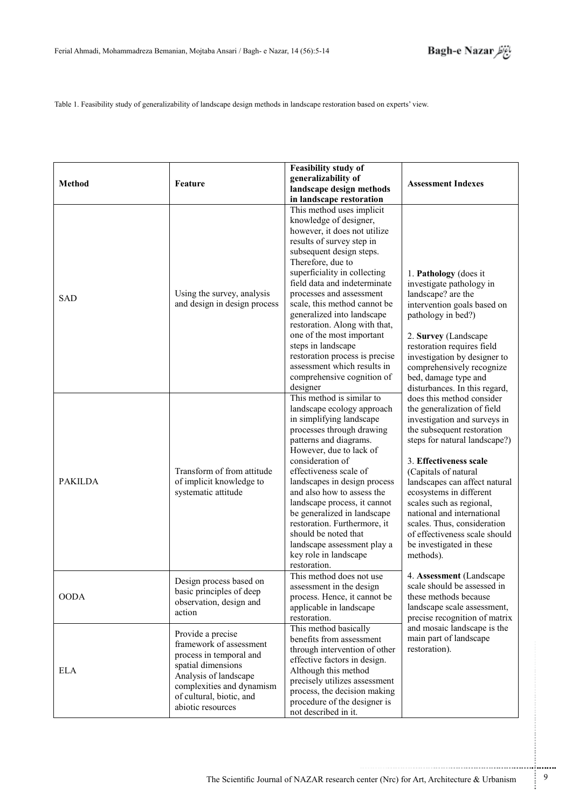Table 1. Feasibility study of generalizability of landscape design methods in landscape restoration based on experts' view.

| <b>Method</b>  | Feature                                                                                                                                                                                              | <b>Feasibility study of</b><br>generalizability of<br>landscape design methods<br>in landscape restoration                                                                                                                                                                                                                                                                                                                                                                                                                 | <b>Assessment Indexes</b>                                                                                                                                                                                                                                                                                                                                                                                                                |  |
|----------------|------------------------------------------------------------------------------------------------------------------------------------------------------------------------------------------------------|----------------------------------------------------------------------------------------------------------------------------------------------------------------------------------------------------------------------------------------------------------------------------------------------------------------------------------------------------------------------------------------------------------------------------------------------------------------------------------------------------------------------------|------------------------------------------------------------------------------------------------------------------------------------------------------------------------------------------------------------------------------------------------------------------------------------------------------------------------------------------------------------------------------------------------------------------------------------------|--|
| <b>SAD</b>     | Using the survey, analysis<br>and design in design process                                                                                                                                           | This method uses implicit<br>knowledge of designer,<br>however, it does not utilize<br>results of survey step in<br>subsequent design steps.<br>Therefore, due to<br>superficiality in collecting<br>field data and indeterminate<br>processes and assessment<br>scale, this method cannot be<br>generalized into landscape<br>restoration. Along with that,<br>one of the most important<br>steps in landscape<br>restoration process is precise<br>assessment which results in<br>comprehensive cognition of<br>designer | 1. Pathology (does it<br>investigate pathology in<br>landscape? are the<br>intervention goals based on<br>pathology in bed?)<br>2. Survey (Landscape<br>restoration requires field<br>investigation by designer to<br>comprehensively recognize<br>bed, damage type and<br>disturbances. In this regard,                                                                                                                                 |  |
| <b>PAKILDA</b> | Transform of from attitude<br>of implicit knowledge to<br>systematic attitude                                                                                                                        | This method is similar to<br>landscape ecology approach<br>in simplifying landscape<br>processes through drawing<br>patterns and diagrams.<br>However, due to lack of<br>consideration of<br>effectiveness scale of<br>landscapes in design process<br>and also how to assess the<br>landscape process, it cannot<br>be generalized in landscape<br>restoration. Furthermore, it<br>should be noted that<br>landscape assessment play a<br>key role in landscape<br>restoration.                                           | does this method consider<br>the generalization of field<br>investigation and surveys in<br>the subsequent restoration<br>steps for natural landscape?)<br>3. Effectiveness scale<br>(Capitals of natural<br>landscapes can affect natural<br>ecosystems in different<br>scales such as regional,<br>national and international<br>scales. Thus, consideration<br>of effectiveness scale should<br>be investigated in these<br>methods). |  |
| <b>OODA</b>    | Design process based on<br>basic principles of deep<br>observation, design and<br>action                                                                                                             | This method does not use<br>assessment in the design<br>process. Hence, it cannot be<br>applicable in landscape<br>restoration.                                                                                                                                                                                                                                                                                                                                                                                            | 4. Assessment (Landscape<br>scale should be assessed in<br>these methods because<br>landscape scale assessment,<br>precise recognition of matrix                                                                                                                                                                                                                                                                                         |  |
| <b>ELA</b>     | Provide a precise<br>framework of assessment<br>process in temporal and<br>spatial dimensions<br>Analysis of landscape<br>complexities and dynamism<br>of cultural, biotic, and<br>abiotic resources | This method basically<br>benefits from assessment<br>through intervention of other<br>effective factors in design.<br>Although this method<br>precisely utilizes assessment<br>process, the decision making<br>procedure of the designer is<br>not described in it.                                                                                                                                                                                                                                                        | and mosaic landscape is the<br>main part of landscape<br>restoration).                                                                                                                                                                                                                                                                                                                                                                   |  |

.......... ....... ........ ........... ...... ....... ........ .......... ...........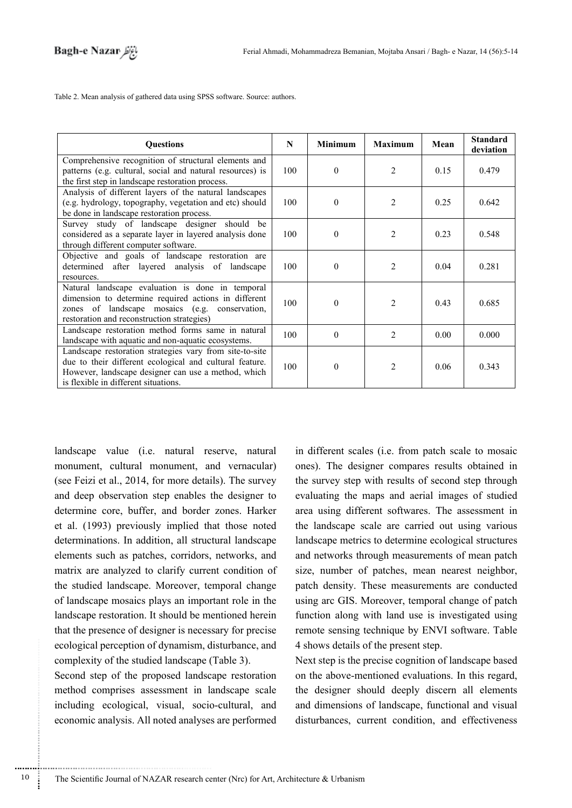Table 2. Mean analysis of gathered data using SPSS software. Source: authors.

| <b>Questions</b>                                                                                                                                                                                                  |     | <b>Minimum</b> | <b>Maximum</b> | Mean | <b>Standard</b><br>deviation |
|-------------------------------------------------------------------------------------------------------------------------------------------------------------------------------------------------------------------|-----|----------------|----------------|------|------------------------------|
| Comprehensive recognition of structural elements and<br>patterns (e.g. cultural, social and natural resources) is<br>the first step in landscape restoration process.                                             | 100 | $\Omega$       | $\mathfrak{D}$ | 0.15 | 0.479                        |
| Analysis of different layers of the natural landscapes<br>(e.g. hydrology, topography, vegetation and etc) should<br>be done in landscape restoration process.                                                    | 100 | $\Omega$       | 2              | 0.25 | 0.642                        |
| Survey study of landscape designer should be<br>considered as a separate layer in layered analysis done<br>through different computer software.                                                                   | 100 | $\theta$       | 2              | 0.23 | 0.548                        |
| Objective and goals of landscape restoration are<br>determined after layered analysis of landscape<br>resources.                                                                                                  | 100 | $\Omega$       | $\overline{2}$ | 0.04 | 0.281                        |
| Natural landscape evaluation is done in temporal<br>dimension to determine required actions in different<br>zones of landscape mosaics (e.g. conservation,<br>restoration and reconstruction strategies)          | 100 | $\theta$       | 2              | 0.43 | 0.685                        |
| Landscape restoration method forms same in natural<br>landscape with aquatic and non-aquatic ecosystems.                                                                                                          | 100 | $\Omega$       | $\overline{2}$ | 0.00 | 0.000                        |
| Landscape restoration strategies vary from site-to-site<br>due to their different ecological and cultural feature.<br>However, landscape designer can use a method, which<br>is flexible in different situations. | 100 | $\theta$       | 2              | 0.06 | 0.343                        |

landscape value (i.e. natural reserve, natural monument, cultural monument, and vernacular) (see Feizi et al.,  $2014$ , for more details). The survey and deep observation step enables the designer to determine core, buffer, and border zones. Harker et al. (1993) previously implied that those noted determinations. In addition, all structural landscape elements such as patches, corridors, networks, and matrix are analyzed to clarify current condition of the studied landscape. Moreover, temporal change of landscape mosaics plays an important role in the landscape restoration. It should be mentioned herein that the presence of designer is necessary for precise ecological perception of dynamism, disturbance, and complexity of the studied landscape (Table 3).

Second step of the proposed landscape restoration method comprises assessment in landscape scale including ecological, visual, socio-cultural, and economic analysis. All noted analyses are performed

............................................................

in different scales (i.e. from patch scale to mosaic ones). The designer compares results obtained in the survey step with results of second step through evaluating the maps and aerial images of studied area using different softwares. The assessment in the landscape scale are carried out using various landscape metrics to determine ecological structures and networks through measurements of mean patch size, number of patches, mean nearest neighbor, patch density. These measurements are conducted using arc GIS. Moreover, temporal change of patch function along with land use is investigated using remote sensing technique by ENVI software. Table 4 shows details of the present step.

Next step is the precise cognition of landscape based on the above-mentioned evaluations. In this regard, the designer should deeply discern all elements and dimensions of landscape, functional and visual disturbances, current condition, and effectiveness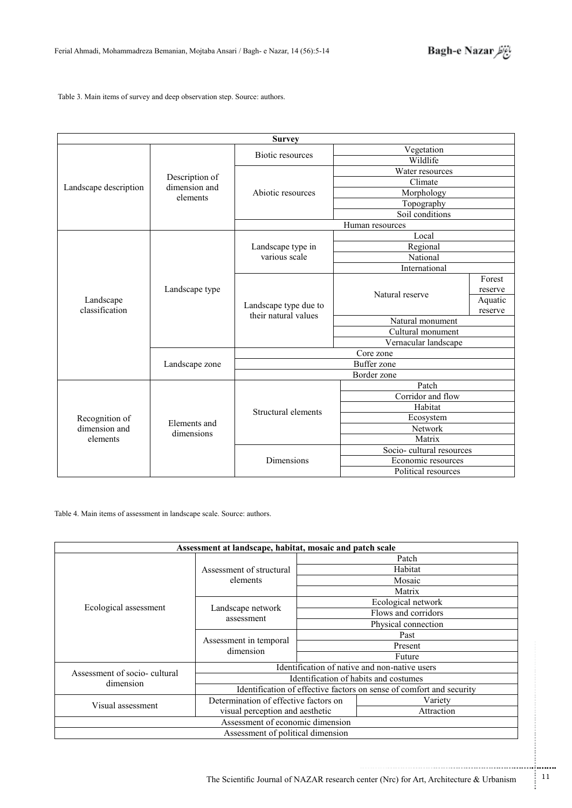

Table 3. Main items of survey and deep observation step. Source: authors.

| <b>Survey</b>             |                                             |                                               |                                   |         |  |  |
|---------------------------|---------------------------------------------|-----------------------------------------------|-----------------------------------|---------|--|--|
| Landscape description     | Description of<br>dimension and<br>elements |                                               | Vegetation                        |         |  |  |
|                           |                                             | Biotic resources                              | Wildlife                          |         |  |  |
|                           |                                             | Abiotic resources                             | Water resources                   |         |  |  |
|                           |                                             |                                               | Climate                           |         |  |  |
|                           |                                             |                                               | Morphology                        |         |  |  |
|                           |                                             |                                               | Topography                        |         |  |  |
|                           |                                             |                                               | Soil conditions                   |         |  |  |
|                           |                                             | Human resources                               |                                   |         |  |  |
|                           |                                             |                                               | Local                             |         |  |  |
|                           |                                             | Landscape type in                             | Regional                          |         |  |  |
|                           |                                             | various scale                                 | National                          |         |  |  |
|                           |                                             |                                               | International                     |         |  |  |
|                           |                                             |                                               |                                   | Forest  |  |  |
|                           | Landscape type<br>Landscape zone            | Landscape type due to<br>their natural values | Natural reserve                   | reserve |  |  |
| Landscape                 |                                             |                                               |                                   | Aquatic |  |  |
| classification            |                                             |                                               | reserve                           |         |  |  |
|                           |                                             |                                               | Natural monument                  |         |  |  |
|                           |                                             |                                               | Cultural monument                 |         |  |  |
|                           |                                             |                                               | Vernacular landscape<br>Core zone |         |  |  |
|                           |                                             | <b>Buffer</b> zone                            |                                   |         |  |  |
|                           |                                             | Border zone                                   |                                   |         |  |  |
|                           |                                             | Patch                                         |                                   |         |  |  |
|                           | Elements and<br>dimensions                  | Structural elements                           | Corridor and flow                 |         |  |  |
|                           |                                             |                                               | Habitat                           |         |  |  |
| Recognition of            |                                             |                                               | Ecosystem                         |         |  |  |
| dimension and<br>elements |                                             |                                               | Network                           |         |  |  |
|                           |                                             |                                               | Matrix                            |         |  |  |
|                           |                                             | Dimensions                                    | Socio-cultural resources          |         |  |  |
|                           |                                             |                                               | Economic resources                |         |  |  |
|                           |                                             |                                               | Political resources               |         |  |  |

Table 4. Main items of assessment in landscape scale. Source: authors.

| Assessment at landscape, habitat, mosaic and patch scale |                                                                          |                                                                                        |                                                                      |  |  |
|----------------------------------------------------------|--------------------------------------------------------------------------|----------------------------------------------------------------------------------------|----------------------------------------------------------------------|--|--|
|                                                          | Assessment of structural                                                 | Patch                                                                                  |                                                                      |  |  |
|                                                          |                                                                          |                                                                                        | Habitat                                                              |  |  |
|                                                          | elements                                                                 |                                                                                        | Mosaic                                                               |  |  |
|                                                          |                                                                          |                                                                                        | Matrix                                                               |  |  |
|                                                          | Landscape network<br>assessment                                          |                                                                                        | Ecological network                                                   |  |  |
| Ecological assessment                                    |                                                                          |                                                                                        | Flows and corridors                                                  |  |  |
|                                                          |                                                                          |                                                                                        | Physical connection                                                  |  |  |
|                                                          | Assessment in temporal<br>dimension                                      |                                                                                        | Past                                                                 |  |  |
|                                                          |                                                                          |                                                                                        | Present                                                              |  |  |
|                                                          |                                                                          | Future                                                                                 |                                                                      |  |  |
| Assessment of socio-cultural                             |                                                                          |                                                                                        |                                                                      |  |  |
| dimension                                                |                                                                          | Identification of native and non-native users<br>Identification of habits and costumes |                                                                      |  |  |
|                                                          |                                                                          |                                                                                        | Identification of effective factors on sense of comfort and security |  |  |
| Visual assessment                                        | Determination of effective factors on<br>visual perception and aesthetic |                                                                                        | Variety                                                              |  |  |
|                                                          |                                                                          |                                                                                        | Attraction                                                           |  |  |
|                                                          | Assessment of economic dimension                                         |                                                                                        |                                                                      |  |  |
|                                                          | Assessment of political dimension                                        |                                                                                        |                                                                      |  |  |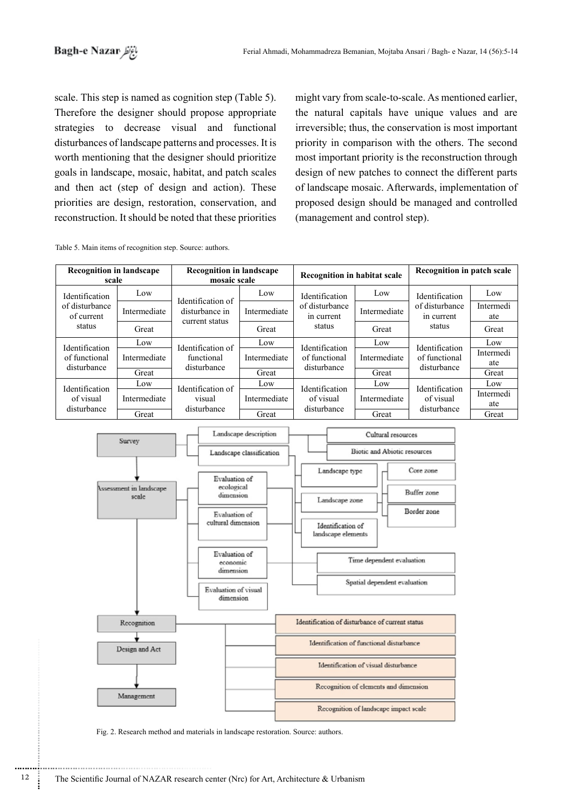scale. This step is named as cognition step (Table 5). Therefore the designer should propose appropriate strategies to decrease visual and functional disturbances of landscape patterns and processes. It is worth mentioning that the designer should prioritize goals in landscape, mosaic, habitat, and patch scales and then act (step of design and action). These priorities are design, restoration, conservation, and reconstruction. It should be noted that these priorities

might vary from scale-to-scale. As mentioned earlier, the natural capitals have unique values and are irreversible; thus, the conservation is most important priority in comparison with the others. The second most important priority is the reconstruction through design of new patches to connect the different parts of landscape mosaic. Afterwards, implementation of proposed design should be managed and controlled (management and control step).

Table 5. Main items of recognition step. Source: authors.

| <b>Recognition in landscape</b><br>scale                 |              | <b>Recognition in landscape</b><br>mosaic scale       |              | <b>Recognition in habitat scale</b>                      |              | Recognition in patch scale                               |                  |
|----------------------------------------------------------|--------------|-------------------------------------------------------|--------------|----------------------------------------------------------|--------------|----------------------------------------------------------|------------------|
| Identification<br>of disturbance<br>of current<br>status | Low          | Identification of<br>disturbance in<br>current status | Low          | Identification<br>of disturbance<br>in current<br>status | Low          | Identification<br>of disturbance<br>in current<br>status | Low              |
|                                                          | Intermediate |                                                       | Intermediate |                                                          | Intermediate |                                                          | Intermedi<br>ate |
|                                                          | Great        |                                                       | Great        |                                                          | Great        |                                                          | Great            |
| Identification<br>of functional<br>disturbance           | Low          | Identification of<br>functional<br>disturbance        | Low          | Identification<br>of functional<br>disturbance           | Low          | Identification<br>of functional<br>disturbance           | Low              |
|                                                          | Intermediate |                                                       | Intermediate |                                                          | Intermediate |                                                          | Intermedi<br>ate |
|                                                          | Great        |                                                       | Great        |                                                          | Great        |                                                          | Great            |
| <b>Identification</b><br>of visual<br>disturbance        | Low          | Identification of<br>visual<br>disturbance            | Low          | <b>Identification</b><br>of visual<br>disturbance        | Low          | Identification<br>of visual<br>disturbance               | Low              |
|                                                          | Intermediate |                                                       | Intermediate |                                                          | Intermediate |                                                          | Intermedi<br>ate |
|                                                          | Great        |                                                       | Great        |                                                          | Great        |                                                          | Great            |



Fig. 2. Research method and materials in landscape restoration. Source: authors.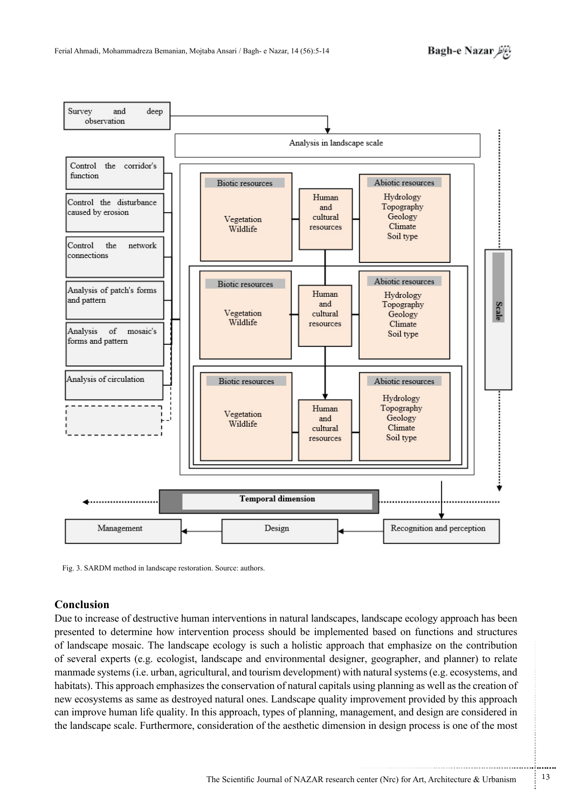

Fig. 3. SARDM method in landscape restoration. Source: authors.

# **Conclusion**

Due to increase of destructive human interventions in natural landscapes, landscape ecology approach has been presented to determine how intervention process should be implemented based on functions and structures of landscape mosaic. The landscape ecology is such a holistic approach that emphasize on the contribution of several experts (e.g. ecologist, landscape and environmental designer, geographer, and planner) to relate manmade systems (i.e. urban, agricultural, and tourism development) with natural systems (e.g. ecosystems, and habitats). This approach emphasizes the conservation of natural capitals using planning as well as the creation of new ecosystems as same as destroyed natural ones. Landscape quality improvement provided by this approach can improve human life quality. In this approach, types of planning, management, and design are considered in the landscape scale. Furthermore, consideration of the aesthetic dimension in design process is one of the most

...........................................................

.......... ....... ........ ........... ...... ....... ........ .......... ...........